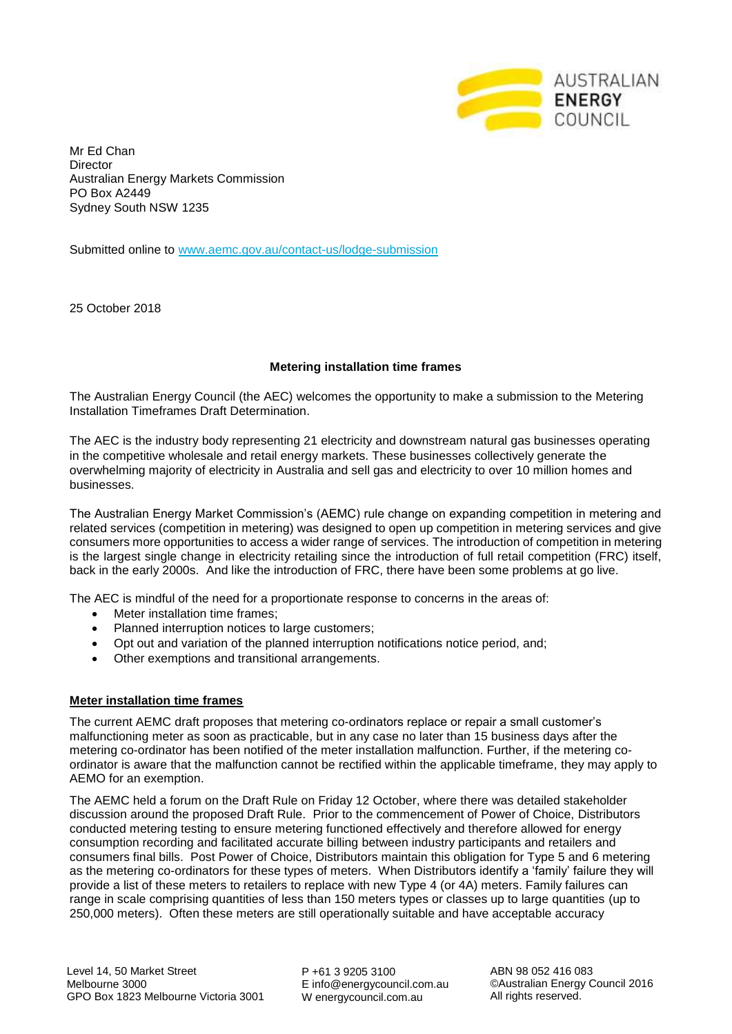

Mr Ed Chan **Director** Australian Energy Markets Commission PO Box A2449 Sydney South NSW 1235

Submitted online to [www.aemc.gov.au/contact-us/lodge-submission](http://www.aemc.gov.au/contact-us/lodge-submission)

25 October 2018

### **Metering installation time frames**

The Australian Energy Council (the AEC) welcomes the opportunity to make a submission to the Metering Installation Timeframes Draft Determination.

The AEC is the industry body representing 21 electricity and downstream natural gas businesses operating in the competitive wholesale and retail energy markets. These businesses collectively generate the overwhelming majority of electricity in Australia and sell gas and electricity to over 10 million homes and businesses.

The Australian Energy Market Commission's (AEMC) rule change on expanding competition in metering and related services (competition in metering) was designed to open up competition in metering services and give consumers more opportunities to access a wider range of services. The introduction of competition in metering is the largest single change in electricity retailing since the introduction of full retail competition (FRC) itself, back in the early 2000s. And like the introduction of FRC, there have been some problems at go live.

The AEC is mindful of the need for a proportionate response to concerns in the areas of:

- Meter installation time frames;
- Planned interruption notices to large customers;
- Opt out and variation of the planned interruption notifications notice period, and;
- Other exemptions and transitional arrangements.

#### **Meter installation time frames**

The current AEMC draft proposes that metering co-ordinators replace or repair a small customer's malfunctioning meter as soon as practicable, but in any case no later than 15 business days after the metering co-ordinator has been notified of the meter installation malfunction. Further, if the metering coordinator is aware that the malfunction cannot be rectified within the applicable timeframe, they may apply to AEMO for an exemption.

The AEMC held a forum on the Draft Rule on Friday 12 October, where there was detailed stakeholder discussion around the proposed Draft Rule. Prior to the commencement of Power of Choice, Distributors conducted metering testing to ensure metering functioned effectively and therefore allowed for energy consumption recording and facilitated accurate billing between industry participants and retailers and consumers final bills. Post Power of Choice, Distributors maintain this obligation for Type 5 and 6 metering as the metering co-ordinators for these types of meters. When Distributors identify a 'family' failure they will provide a list of these meters to retailers to replace with new Type 4 (or 4A) meters. Family failures can range in scale comprising quantities of less than 150 meters types or classes up to large quantities (up to 250,000 meters). Often these meters are still operationally suitable and have acceptable accuracy

P +61 3 9205 3100 E info@energycouncil.com.au W energycouncil.com.au

ABN 98 052 416 083 ©Australian Energy Council 2016 All rights reserved.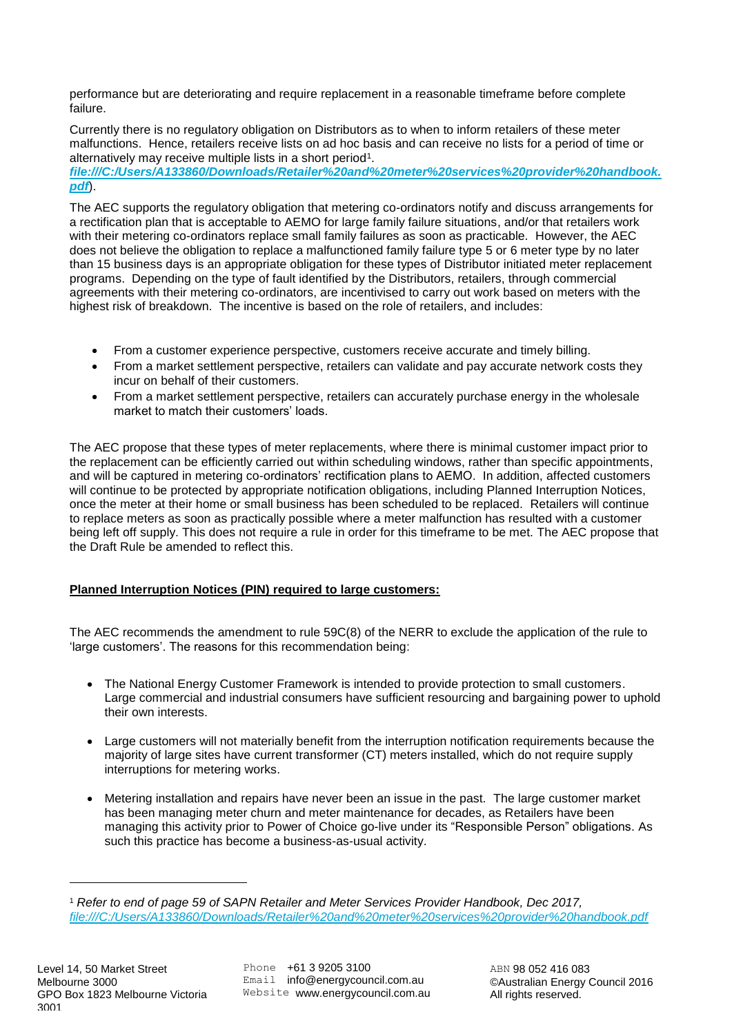performance but are deteriorating and require replacement in a reasonable timeframe before complete failure.

Currently there is no regulatory obligation on Distributors as to when to inform retailers of these meter malfunctions. Hence, retailers receive lists on ad hoc basis and can receive no lists for a period of time or alternatively may receive multiple lists in a short period<sup>1</sup>.

*[file:///C:/Users/A133860/Downloads/Retailer%20and%20meter%20services%20provider%20handbook.](file:///C:/Users/A133860/Downloads/Retailer%20and%20meter%20services%20provider%20handbook.pdf) [pdf](file:///C:/Users/A133860/Downloads/Retailer%20and%20meter%20services%20provider%20handbook.pdf)*).

The AEC supports the regulatory obligation that metering co-ordinators notify and discuss arrangements for a rectification plan that is acceptable to AEMO for large family failure situations, and/or that retailers work with their metering co-ordinators replace small family failures as soon as practicable. However, the AEC does not believe the obligation to replace a malfunctioned family failure type 5 or 6 meter type by no later than 15 business days is an appropriate obligation for these types of Distributor initiated meter replacement programs. Depending on the type of fault identified by the Distributors, retailers, through commercial agreements with their metering co-ordinators, are incentivised to carry out work based on meters with the highest risk of breakdown. The incentive is based on the role of retailers, and includes:

- From a customer experience perspective, customers receive accurate and timely billing.
- From a market settlement perspective, retailers can validate and pay accurate network costs they incur on behalf of their customers.
- From a market settlement perspective, retailers can accurately purchase energy in the wholesale market to match their customers' loads.

The AEC propose that these types of meter replacements, where there is minimal customer impact prior to the replacement can be efficiently carried out within scheduling windows, rather than specific appointments, and will be captured in metering co-ordinators' rectification plans to AEMO. In addition, affected customers will continue to be protected by appropriate notification obligations, including Planned Interruption Notices, once the meter at their home or small business has been scheduled to be replaced. Retailers will continue to replace meters as soon as practically possible where a meter malfunction has resulted with a customer being left off supply. This does not require a rule in order for this timeframe to be met. The AEC propose that the Draft Rule be amended to reflect this.

# **Planned Interruption Notices (PIN) required to large customers:**

The AEC recommends the amendment to rule 59C(8) of the NERR to exclude the application of the rule to 'large customers'. The reasons for this recommendation being:

- The National Energy Customer Framework is intended to provide protection to small customers. Large commercial and industrial consumers have sufficient resourcing and bargaining power to uphold their own interests.
- Large customers will not materially benefit from the interruption notification requirements because the majority of large sites have current transformer (CT) meters installed, which do not require supply interruptions for metering works.
- Metering installation and repairs have never been an issue in the past. The large customer market has been managing meter churn and meter maintenance for decades, as Retailers have been managing this activity prior to Power of Choice go-live under its "Responsible Person" obligations. As such this practice has become a business-as-usual activity.

È,

<sup>1</sup> *Refer to end of page 59 of SAPN Retailer and Meter Services Provider Handbook, Dec 2017, <file:///C:/Users/A133860/Downloads/Retailer%20and%20meter%20services%20provider%20handbook.pdf>*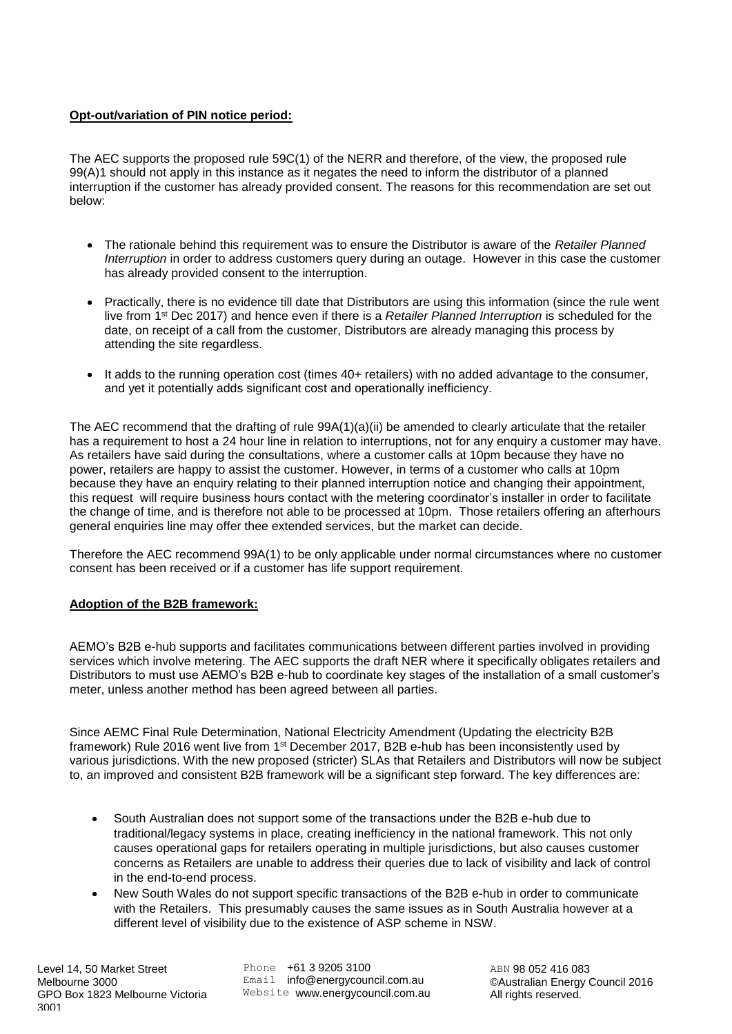# **Opt-out/variation of PIN notice period:**

The AEC supports the proposed rule 59C(1) of the NERR and therefore, of the view, the proposed rule 99(A)1 should not apply in this instance as it negates the need to inform the distributor of a planned interruption if the customer has already provided consent. The reasons for this recommendation are set out below:

- The rationale behind this requirement was to ensure the Distributor is aware of the *Retailer Planned Interruption* in order to address customers query during an outage. However in this case the customer has already provided consent to the interruption.
- Practically, there is no evidence till date that Distributors are using this information (since the rule went live from 1st Dec 2017) and hence even if there is a *Retailer Planned Interruption* is scheduled for the date, on receipt of a call from the customer, Distributors are already managing this process by attending the site regardless.
- It adds to the running operation cost (times 40+ retailers) with no added advantage to the consumer, and yet it potentially adds significant cost and operationally inefficiency.

The AEC recommend that the drafting of rule 99A(1)(a)(ii) be amended to clearly articulate that the retailer has a requirement to host a 24 hour line in relation to interruptions, not for any enquiry a customer may have. As retailers have said during the consultations, where a customer calls at 10pm because they have no power, retailers are happy to assist the customer. However, in terms of a customer who calls at 10pm because they have an enquiry relating to their planned interruption notice and changing their appointment, this request will require business hours contact with the metering coordinator's installer in order to facilitate the change of time, and is therefore not able to be processed at 10pm. Those retailers offering an afterhours general enquiries line may offer thee extended services, but the market can decide.

Therefore the AEC recommend 99A(1) to be only applicable under normal circumstances where no customer consent has been received or if a customer has life support requirement.

### **Adoption of the B2B framework:**

AEMO's B2B e-hub supports and facilitates communications between different parties involved in providing services which involve metering. The AEC supports the draft NER where it specifically obligates retailers and Distributors to must use AEMO's B2B e-hub to coordinate key stages of the installation of a small customer's meter, unless another method has been agreed between all parties.

Since AEMC Final Rule Determination, National Electricity Amendment (Updating the electricity B2B framework) Rule 2016 went live from 1st December 2017, B2B e-hub has been inconsistently used by various jurisdictions. With the new proposed (stricter) SLAs that Retailers and Distributors will now be subject to, an improved and consistent B2B framework will be a significant step forward. The key differences are:

- South Australian does not support some of the transactions under the B2B e-hub due to traditional/legacy systems in place, creating inefficiency in the national framework. This not only causes operational gaps for retailers operating in multiple jurisdictions, but also causes customer concerns as Retailers are unable to address their queries due to lack of visibility and lack of control in the end-to-end process.
- New South Wales do not support specific transactions of the B2B e-hub in order to communicate with the Retailers. This presumably causes the same issues as in South Australia however at a different level of visibility due to the existence of ASP scheme in NSW.

Phone +61 3 9205 3100 Email info@energycouncil.com.au Website www.energycouncil.com.au

ABN 98 052 416 083 ©Australian Energy Council 2016 All rights reserved.